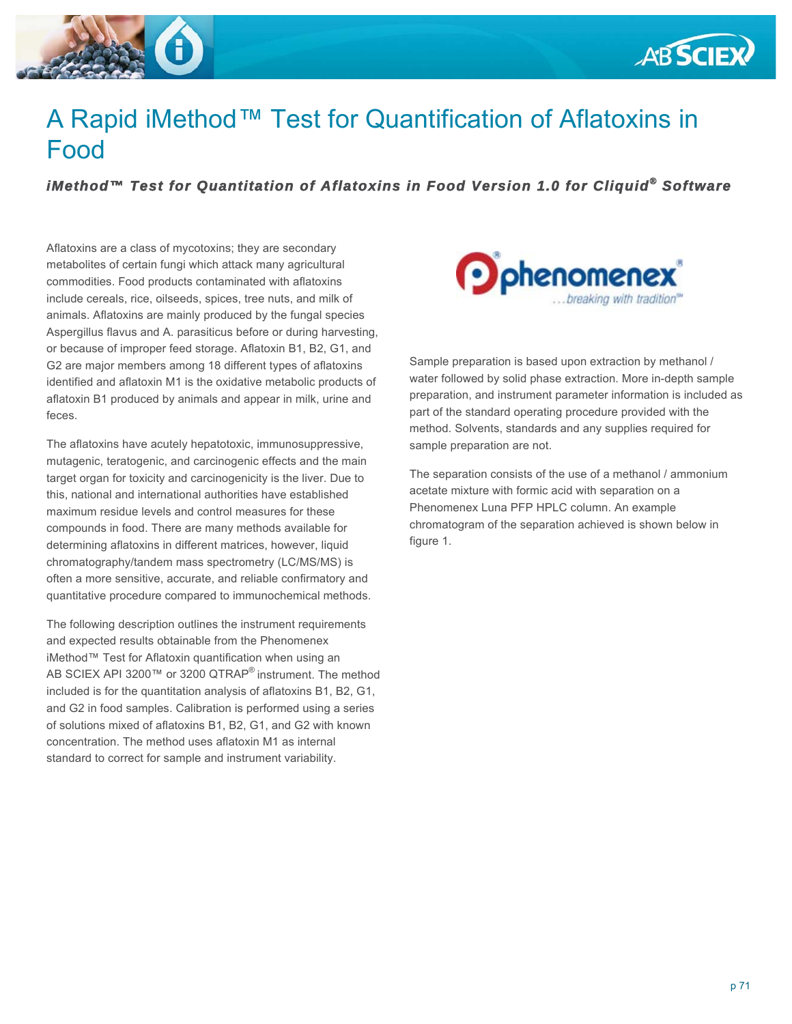



# A Rapid iMethod™ Test for Quantification of Aflatoxins in Food

## *iMethod™ Test for Quantitation of Aflatoxins in Food Version 1.0 for Cliquid® Software*

Aflatoxins are a class of mycotoxins; they are secondary metabolites of certain fungi which attack many agricultural commodities. Food products contaminated with aflatoxins include cereals, rice, oilseeds, spices, tree nuts, and milk of animals. Aflatoxins are mainly produced by the fungal species Aspergillus flavus and A. parasiticus before or during harvesting, or because of improper feed storage. Aflatoxin B1, B2, G1, and G2 are major members among 18 different types of aflatoxins identified and aflatoxin M1 is the oxidative metabolic products of aflatoxin B1 produced by animals and appear in milk, urine and feces.

The aflatoxins have acutely hepatotoxic, immunosuppressive, mutagenic, teratogenic, and carcinogenic effects and the main target organ for toxicity and carcinogenicity is the liver. Due to this, national and international authorities have established maximum residue levels and control measures for these compounds in food. There are many methods available for determining aflatoxins in different matrices, however, liquid chromatography/tandem mass spectrometry (LC/MS/MS) is often a more sensitive, accurate, and reliable confirmatory and quantitative procedure compared to immunochemical methods.

The following description outlines the instrument requirements and expected results obtainable from the Phenomenex iMethod™ Test for Aflatoxin quantification when using an AB SCIEX API 3200™ or 3200 QTRAP® instrument. The method included is for the quantitation analysis of aflatoxins B1, B2, G1, and G2 in food samples. Calibration is performed using a series of solutions mixed of aflatoxins B1, B2, G1, and G2 with known concentration. The method uses aflatoxin M1 as internal standard to correct for sample and instrument variability.



Sample preparation is based upon extraction by methanol / water followed by solid phase extraction. More in-depth sample preparation, and instrument parameter information is included as part of the standard operating procedure provided with the method. Solvents, standards and any supplies required for sample preparation are not.

The separation consists of the use of a methanol / ammonium acetate mixture with formic acid with separation on a Phenomenex Luna PFP HPLC column. An example chromatogram of the separation achieved is shown below in figure 1.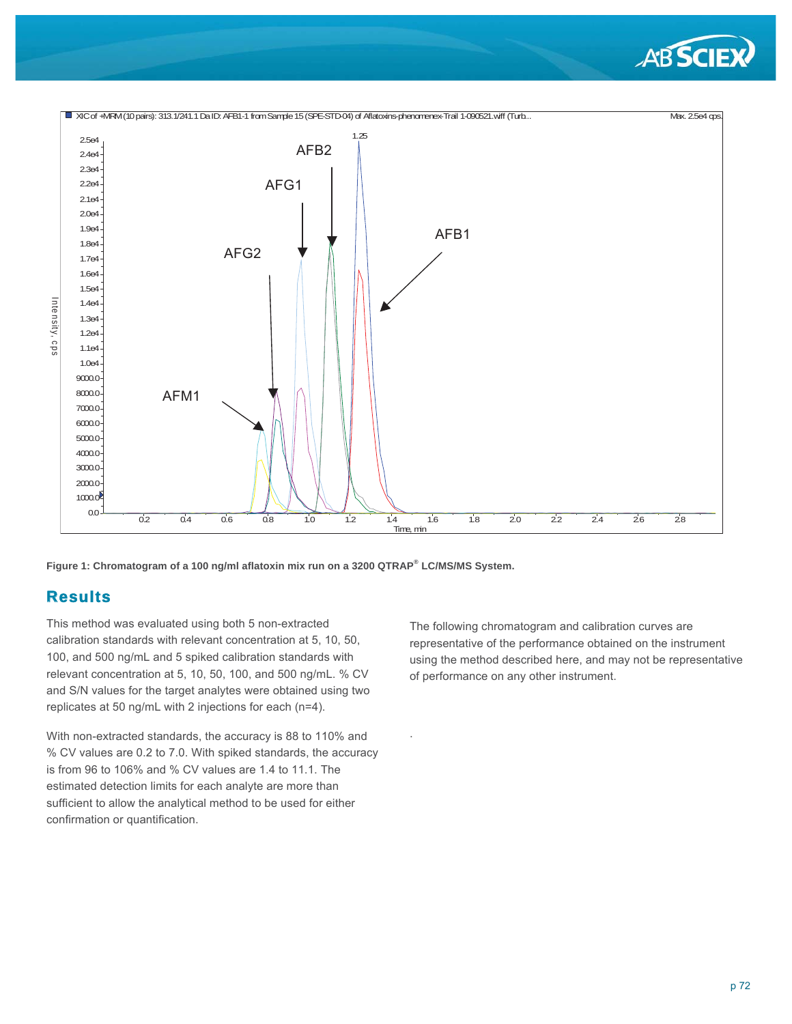



.

**Figure 1: Chromatogram of a 100 ng/ml aflatoxin mix run on a 3200 QTRAP® LC/MS/MS System.** 

### **Results**

This method was evaluated using both 5 non-extracted calibration standards with relevant concentration at 5, 10, 50, 100, and 500 ng/mL and 5 spiked calibration standards with relevant concentration at 5, 10, 50, 100, and 500 ng/mL. % CV and S/N values for the target analytes were obtained using two replicates at 50 ng/mL with 2 injections for each (n=4).

With non-extracted standards, the accuracy is 88 to 110% and % CV values are 0.2 to 7.0. With spiked standards, the accuracy is from 96 to 106% and % CV values are 1.4 to 11.1. The estimated detection limits for each analyte are more than sufficient to allow the analytical method to be used for either confirmation or quantification.

The following chromatogram and calibration curves are representative of the performance obtained on the instrument using the method described here, and may not be representative of performance on any other instrument.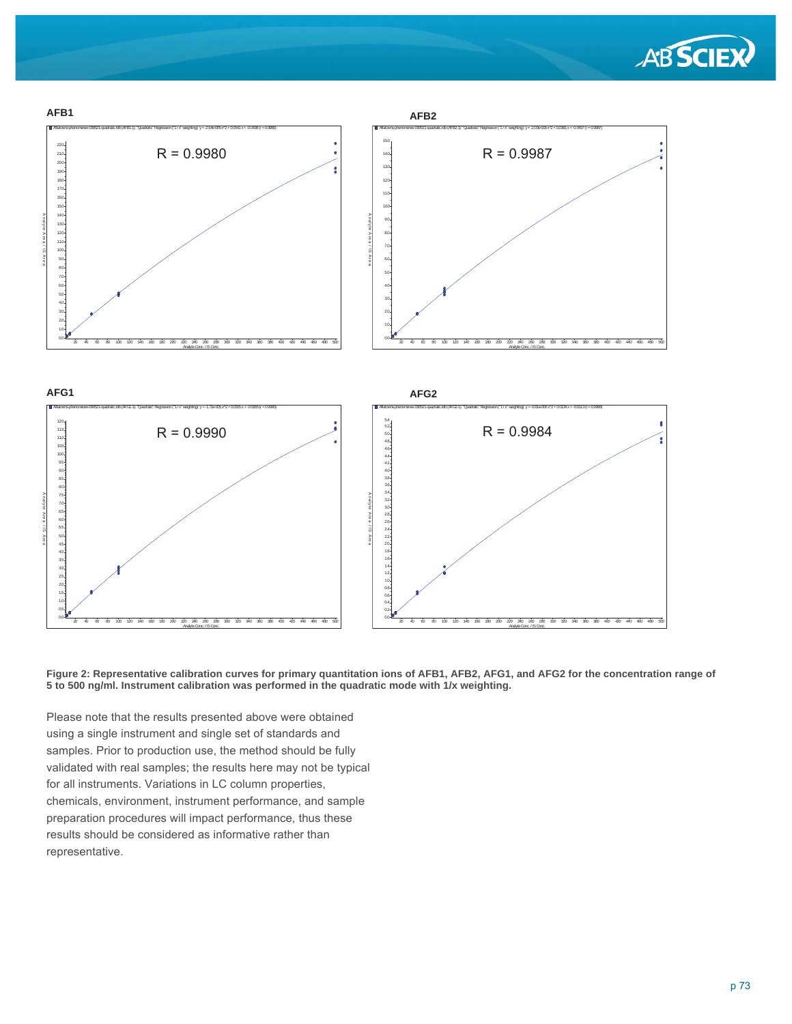



**Figure 2: Representative calibration curves for primary quantitation ions of AFB1, AFB2, AFG1, and AFG2 for the concentration range of 5 to 500 ng/ml. Instrument calibration was performed in the quadratic mode with 1/x weighting.**

Please note that the results presented above were obtained using a single instrument and single set of standards and samples. Prior to production use, the method should be fully validated with real samples; the results here may not be typical for all instruments. Variations in LC column properties, chemicals, environment, instrument performance, and sample preparation procedures will impact performance, thus these results should be considered as informative rather than representative.